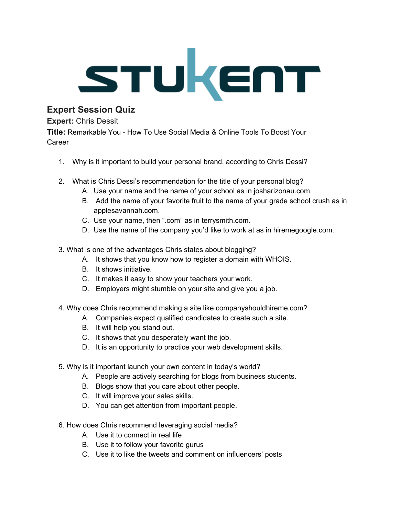

## **Expert Session Quiz**

## **Expert:** Chris Dessit

**Title:** Remarkable You - How To Use Social Media & Online Tools To Boost Your **Career** 

- 1. Why is it important to build your personal brand, according to Chris Dessi?
- 2. What is Chris Dessi's recommendation for the title of your personal blog?
	- A. Use your name and the name of your school as in josharizonau.com.
	- B. Add the name of your favorite fruit to the name of your grade school crush as in applesavannah.com.
	- C. Use your name, then ".com" as in terrysmith.com.
	- D. Use the name of the company you'd like to work at as in hiremegoogle.com.
- 3. What is one of the advantages Chris states about blogging?
	- A. It shows that you know how to register a domain with WHOIS.
	- B. It shows initiative.
	- C. It makes it easy to show your teachers your work.
	- D. Employers might stumble on your site and give you a job.
- 4. Why does Chris recommend making a site like companyshouldhireme.com?
	- A. Companies expect qualified candidates to create such a site.
	- B. It will help you stand out.
	- C. It shows that you desperately want the job.
	- D. It is an opportunity to practice your web development skills.
- 5. Why is it important launch your own content in today's world?
	- A. People are actively searching for blogs from business students.
	- B. Blogs show that you care about other people.
	- C. It will improve your sales skills.
	- D. You can get attention from important people.
- 6. How does Chris recommend leveraging social media?
	- A. Use it to connect in real life
	- B. Use it to follow your favorite gurus
	- C. Use it to like the tweets and comment on influencers' posts